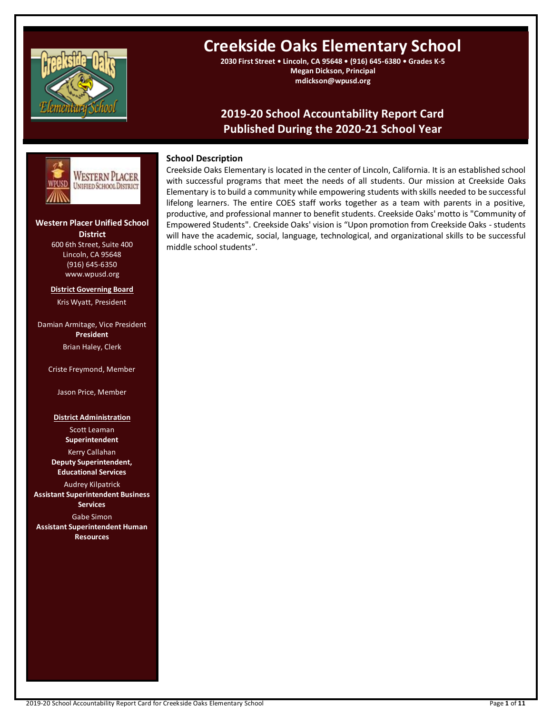

# **Creekside Oaks Elementary School**

**2030 First Street • Lincoln, CA 95648 • (916) 645-6380 • Grades K-5 Megan Dickson, Principal mdickson@wpusd.org**

## **2019-20 School Accountability Report Card Published During the 2020-21 School Year**



### **Western Placer Unified School District** 600 6th Street, Suite 400 Lincoln, CA 95648 (916) 645-6350 www.wpusd.org

**District Governing Board** Kris Wyatt, President

Damian Armitage, Vice President **President** Brian Haley, Clerk

Criste Freymond, Member

Jason Price, Member

**District Administration**

Scott Leaman **Superintendent**

Kerry Callahan **Deputy Superintendent, Educational Services**

Audrey Kilpatrick **Assistant Superintendent Business Services** Gabe Simon **Assistant Superintendent Human Resources**

## **School Description**

Creekside Oaks Elementary is located in the center of Lincoln, California. It is an established school with successful programs that meet the needs of all students. Our mission at Creekside Oaks Elementary is to build a community while empowering students with skills needed to be successful lifelong learners. The entire COES staff works together as a team with parents in a positive, productive, and professional manner to benefit students. Creekside Oaks' motto is "Community of Empowered Students". Creekside Oaks' vision is "Upon promotion from Creekside Oaks - students will have the academic, social, language, technological, and organizational skills to be successful middle school students".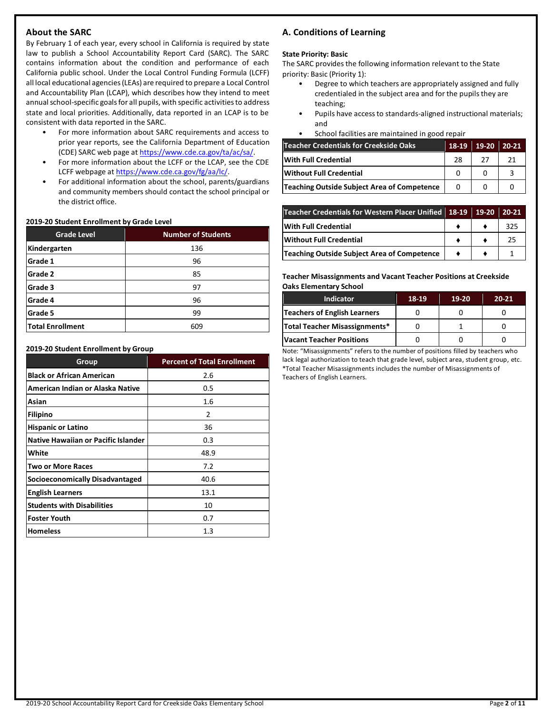## **About the SARC**

By February 1 of each year, every school in California is required by state law to publish a School Accountability Report Card (SARC). The SARC contains information about the condition and performance of each California public school. Under the Local Control Funding Formula (LCFF) all local educational agencies (LEAs) are required to prepare a Local Control and Accountability Plan (LCAP), which describes how they intend to meet annual school-specific goals for all pupils, with specific activities to address state and local priorities. Additionally, data reported in an LCAP is to be consistent with data reported in the SARC.

- For more information about SARC requirements and access to prior year reports, see the California Department of Education (CDE) SARC web page at [https://www.cde.ca.gov/ta/ac/sa/.](https://www.cde.ca.gov/ta/ac/sa/)
- For more information about the LCFF or the LCAP, see the CDE LCFF webpage a[t https://www.cde.ca.gov/fg/aa/lc/.](https://www.cde.ca.gov/fg/aa/lc/)
- For additional information about the school, parents/guardians and community members should contact the school principal or the district office.

#### **2019-20 Student Enrollment by Grade Level**

| <b>Grade Level</b>      | <b>Number of Students</b> |  |
|-------------------------|---------------------------|--|
| Kindergarten            | 136                       |  |
| Grade 1                 | 96                        |  |
| Grade 2                 | 85                        |  |
| Grade 3                 | 97                        |  |
| Grade 4                 | 96                        |  |
| Grade 5                 | 99                        |  |
| <b>Total Enrollment</b> | 609                       |  |

#### **2019-20 Student Enrollment by Group**

| Group                                      | <b>Percent of Total Enrollment</b> |
|--------------------------------------------|------------------------------------|
| <b>Black or African American</b>           | 2.6                                |
| American Indian or Alaska Native           | 0.5                                |
| Asian                                      | 1.6                                |
| <b>Filipino</b>                            | $\mathcal{P}$                      |
| <b>Hispanic or Latino</b>                  | 36                                 |
| <b>Native Hawaiian or Pacific Islander</b> | 0.3                                |
| White                                      | 48.9                               |
| <b>Two or More Races</b>                   | 7.2                                |
| <b>Socioeconomically Disadvantaged</b>     | 40.6                               |
| <b>English Learners</b>                    | 13.1                               |
| <b>Students with Disabilities</b>          | 10                                 |
| <b>Foster Youth</b>                        | 0.7                                |
| <b>Homeless</b>                            | $1.3\,$                            |

## **A. Conditions of Learning**

## **State Priority: Basic**

The SARC provides the following information relevant to the State priority: Basic (Priority 1):

- Degree to which teachers are appropriately assigned and fully credentialed in the subject area and for the pupils they are teaching;
- Pupils have access to standards-aligned instructional materials; and
- School facilities are maintained in good repair

| <b>Teacher Credentials for Creekside Oaks</b> | 18-19 | $19-20$ | $20 - 21$ |
|-----------------------------------------------|-------|---------|-----------|
| With Full Credential                          | 28    | 27      | 21        |
| Without Full Credential                       |       |         |           |
| Teaching Outside Subject Area of Competence   | 0     |         |           |

| Teacher Credentials for Western Placer Unified 18-19 19-20 |  | 20-21 |
|------------------------------------------------------------|--|-------|
| <b>With Full Credential</b>                                |  | 325   |
| <b>Without Full Credential</b>                             |  | 25    |
| <b>Teaching Outside Subject Area of Competence</b>         |  |       |

#### **Teacher Misassignments and Vacant Teacher Positions at Creekside Oaks Elementary School**

| <b>Indicator</b>                | 18-19 | 19-20 | $20 - 21$ |
|---------------------------------|-------|-------|-----------|
| Teachers of English Learners    |       |       |           |
| Total Teacher Misassignments*   |       |       |           |
| <b>Vacant Teacher Positions</b> |       |       |           |

Note: "Misassignments" refers to the number of positions filled by teachers who lack legal authorization to teach that grade level, subject area, student group, etc. \*Total Teacher Misassignments includes the number of Misassignments of Teachers of English Learners.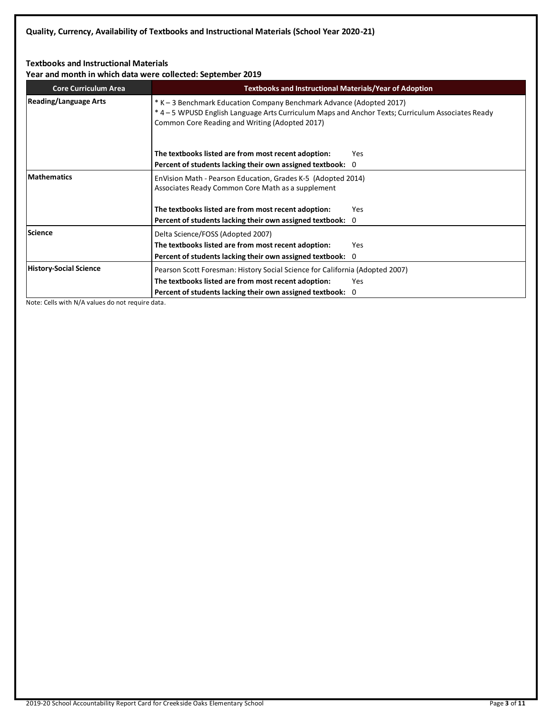## **Textbooks and Instructional Materials**

**Year and month in which data were collected: September 2019**

| <b>Core Curriculum Area</b>   | <b>Textbooks and Instructional Materials/Year of Adoption</b>                                                                                                                                                               |     |  |  |  |
|-------------------------------|-----------------------------------------------------------------------------------------------------------------------------------------------------------------------------------------------------------------------------|-----|--|--|--|
| <b>Reading/Language Arts</b>  | * K - 3 Benchmark Education Company Benchmark Advance (Adopted 2017)<br>* 4 - 5 WPUSD English Language Arts Curriculum Maps and Anchor Texts; Curriculum Associates Ready<br>Common Core Reading and Writing (Adopted 2017) |     |  |  |  |
|                               | The textbooks listed are from most recent adoption:                                                                                                                                                                         | Yes |  |  |  |
|                               | Percent of students lacking their own assigned textbook: 0                                                                                                                                                                  |     |  |  |  |
| <b>Mathematics</b>            | EnVision Math - Pearson Education, Grades K-5 (Adopted 2014)<br>Associates Ready Common Core Math as a supplement                                                                                                           |     |  |  |  |
|                               | The textbooks listed are from most recent adoption:                                                                                                                                                                         | Yes |  |  |  |
|                               | Percent of students lacking their own assigned textbook: 0                                                                                                                                                                  |     |  |  |  |
| Science                       | Delta Science/FOSS (Adopted 2007)                                                                                                                                                                                           |     |  |  |  |
|                               | The textbooks listed are from most recent adoption:                                                                                                                                                                         | Yes |  |  |  |
|                               | Percent of students lacking their own assigned textbook: 0                                                                                                                                                                  |     |  |  |  |
| <b>History-Social Science</b> | Pearson Scott Foresman: History Social Science for California (Adopted 2007)                                                                                                                                                |     |  |  |  |
|                               | The textbooks listed are from most recent adoption:                                                                                                                                                                         | Yes |  |  |  |
|                               | Percent of students lacking their own assigned textbook: 0                                                                                                                                                                  |     |  |  |  |

Note: Cells with N/A values do not require data.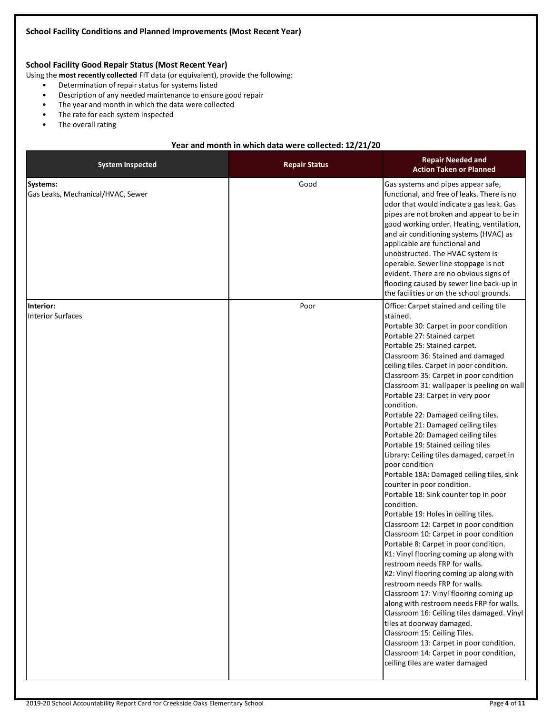## **School Facility Good Repair Status (Most Recent Year)**

Using the **most recently collected** FIT data (or equivalent), provide the following:

- Determination of repair status for systems listed
- Description of any needed maintenance to ensure good repair
- The year and month in which the data were collected
- The rate for each system inspected
- The overall rating

#### **Year and month in which data were collected: 12/21/20**

| <b>System Inspected</b>                       | <b>Repair Status</b> | <b>Repair Needed and</b><br><b>Action Taken or Planned</b>                                                                                                                                                                                                                                                                                                                                                                                                                                                                                                                                                                                                                                                                                                                                                                                                                                                                                                                                                                                                                                                                                                                                                                                                                                                                                                                                              |
|-----------------------------------------------|----------------------|---------------------------------------------------------------------------------------------------------------------------------------------------------------------------------------------------------------------------------------------------------------------------------------------------------------------------------------------------------------------------------------------------------------------------------------------------------------------------------------------------------------------------------------------------------------------------------------------------------------------------------------------------------------------------------------------------------------------------------------------------------------------------------------------------------------------------------------------------------------------------------------------------------------------------------------------------------------------------------------------------------------------------------------------------------------------------------------------------------------------------------------------------------------------------------------------------------------------------------------------------------------------------------------------------------------------------------------------------------------------------------------------------------|
| Systems:<br>Gas Leaks, Mechanical/HVAC, Sewer | Good                 | Gas systems and pipes appear safe,<br>functional, and free of leaks. There is no<br>odor that would indicate a gas leak. Gas<br>pipes are not broken and appear to be in<br>good working order. Heating, ventilation,<br>and air conditioning systems (HVAC) as<br>applicable are functional and<br>unobstructed. The HVAC system is<br>operable. Sewer line stoppage is not<br>evident. There are no obvious signs of<br>flooding caused by sewer line back-up in<br>the facilities or on the school grounds.                                                                                                                                                                                                                                                                                                                                                                                                                                                                                                                                                                                                                                                                                                                                                                                                                                                                                          |
| Interior:<br><b>Interior Surfaces</b>         | Poor                 | Office: Carpet stained and ceiling tile<br>stained.<br>Portable 30: Carpet in poor condition<br>Portable 27: Stained carpet<br>Portable 25: Stained carpet.<br>Classroom 36: Stained and damaged<br>ceiling tiles. Carpet in poor condition.<br>Classroom 35: Carpet in poor condition<br>Classroom 31: wallpaper is peeling on wall<br>Portable 23: Carpet in very poor<br>condition.<br>Portable 22: Damaged ceiling tiles.<br>Portable 21: Damaged ceiling tiles<br>Portable 20: Damaged ceiling tiles<br>Portable 19: Stained ceiling tiles<br>Library: Ceiling tiles damaged, carpet in<br>poor condition<br>Portable 18A: Damaged ceiling tiles, sink<br>counter in poor condition.<br>Portable 18: Sink counter top in poor<br>condition.<br>Portable 19: Holes in ceiling tiles.<br>Classroom 12: Carpet in poor condition<br>Classroom 10: Carpet in poor condition<br>Portable 8: Carpet in poor condition.<br>K1: Vinyl flooring coming up along with<br>restroom needs FRP for walls.<br>K2: Vinyl flooring coming up along with<br>restroom needs FRP for walls.<br>Classroom 17: Vinyl flooring coming up<br>along with restroom needs FRP for walls.<br>Classroom 16: Ceiling tiles damaged. Vinyl<br>tiles at doorway damaged.<br>Classroom 15: Ceiling Tiles.<br>Classroom 13: Carpet in poor condition.<br>Classroom 14: Carpet in poor condition,<br>ceiling tiles are water damaged |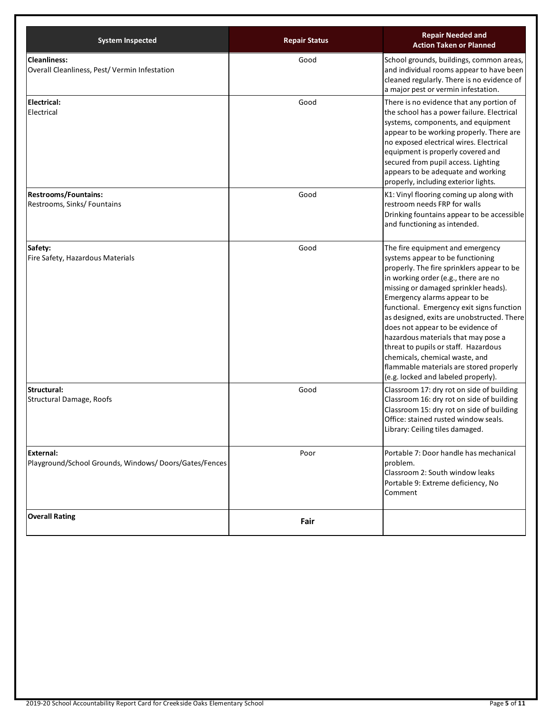| <b>System Inspected</b>                                             | <b>Repair Status</b> | <b>Repair Needed and</b><br><b>Action Taken or Planned</b>                                                                                                                                                                                                                                                                                                                                                                                                                                                                                                             |
|---------------------------------------------------------------------|----------------------|------------------------------------------------------------------------------------------------------------------------------------------------------------------------------------------------------------------------------------------------------------------------------------------------------------------------------------------------------------------------------------------------------------------------------------------------------------------------------------------------------------------------------------------------------------------------|
| <b>Cleanliness:</b><br>Overall Cleanliness, Pest/Vermin Infestation | Good                 | School grounds, buildings, common areas,<br>and individual rooms appear to have been<br>cleaned regularly. There is no evidence of<br>a major pest or vermin infestation.                                                                                                                                                                                                                                                                                                                                                                                              |
| <b>Electrical:</b><br>Electrical                                    | Good                 | There is no evidence that any portion of<br>the school has a power failure. Electrical<br>systems, components, and equipment<br>appear to be working properly. There are<br>no exposed electrical wires. Electrical<br>equipment is properly covered and<br>secured from pupil access. Lighting<br>appears to be adequate and working<br>properly, including exterior lights.                                                                                                                                                                                          |
| <b>Restrooms/Fountains:</b><br>Restrooms, Sinks/ Fountains          | Good                 | K1: Vinyl flooring coming up along with<br>restroom needs FRP for walls<br>Drinking fountains appear to be accessible<br>and functioning as intended.                                                                                                                                                                                                                                                                                                                                                                                                                  |
| Safety:<br>Fire Safety, Hazardous Materials                         | Good                 | The fire equipment and emergency<br>systems appear to be functioning<br>properly. The fire sprinklers appear to be<br>in working order (e.g., there are no<br>missing or damaged sprinkler heads).<br>Emergency alarms appear to be<br>functional. Emergency exit signs function<br>as designed, exits are unobstructed. There<br>does not appear to be evidence of<br>hazardous materials that may pose a<br>threat to pupils or staff. Hazardous<br>chemicals, chemical waste, and<br>flammable materials are stored properly<br>(e.g. locked and labeled properly). |
| Structural:<br>Structural Damage, Roofs                             | Good                 | Classroom 17: dry rot on side of building<br>Classroom 16: dry rot on side of building<br>Classroom 15: dry rot on side of building<br>Office: stained rusted window seals.<br>Library: Ceiling tiles damaged.                                                                                                                                                                                                                                                                                                                                                         |
| External:<br>Playground/School Grounds, Windows/Doors/Gates/Fences  | Poor                 | Portable 7: Door handle has mechanical<br>problem.<br>Classroom 2: South window leaks<br>Portable 9: Extreme deficiency, No<br>Comment                                                                                                                                                                                                                                                                                                                                                                                                                                 |
| <b>Overall Rating</b>                                               | Fair                 |                                                                                                                                                                                                                                                                                                                                                                                                                                                                                                                                                                        |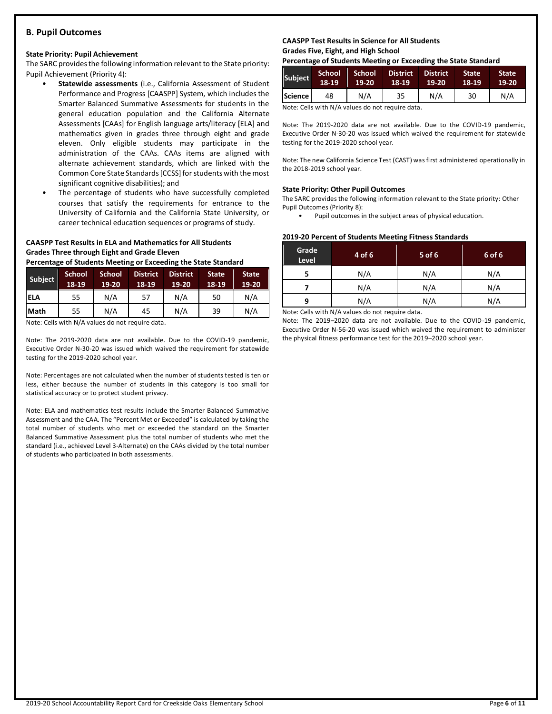### **B. Pupil Outcomes**

#### **State Priority: Pupil Achievement**

The SARC provides the following information relevant to the State priority: Pupil Achievement (Priority 4):

- **Statewide assessments** (i.e., California Assessment of Student Performance and Progress [CAASPP] System, which includes the Smarter Balanced Summative Assessments for students in the general education population and the California Alternate Assessments [CAAs] for English language arts/literacy [ELA] and mathematics given in grades three through eight and grade eleven. Only eligible students may participate in the administration of the CAAs. CAAs items are aligned with alternate achievement standards, which are linked with the Common Core State Standards [CCSS] for students with the most significant cognitive disabilities); and
- The percentage of students who have successfully completed courses that satisfy the requirements for entrance to the University of California and the California State University, or career technical education sequences or programs of study.

## **CAASPP Test Results in ELA and Mathematics for All Students Grades Three through Eight and Grade Eleven**

**Percentage of Students Meeting or Exceeding the State Standard**

| Subject     | <b>School</b><br>18-19 | <b>School</b><br>19-20 | <b>District</b><br>18-19 | <b>District</b><br>$19-20$ | <b>State</b><br>$18-19$ | <b>State</b><br>19-20 |
|-------------|------------------------|------------------------|--------------------------|----------------------------|-------------------------|-----------------------|
| <b>ELA</b>  | 55                     | N/A                    | 57                       | N/A                        | 50                      | N/A                   |
| <b>Math</b> | 55                     | N/A                    | 45                       | N/A                        | 39                      | N/A                   |

Note: Cells with N/A values do not require data.

Note: The 2019-2020 data are not available. Due to the COVID-19 pandemic, Executive Order N-30-20 was issued which waived the requirement for statewide testing for the 2019-2020 school year.

Note: Percentages are not calculated when the number of students tested is ten or less, either because the number of students in this category is too small for statistical accuracy or to protect student privacy.

Note: ELA and mathematics test results include the Smarter Balanced Summative Assessment and the CAA. The "Percent Met or Exceeded" is calculated by taking the total number of students who met or exceeded the standard on the Smarter Balanced Summative Assessment plus the total number of students who met the standard (i.e., achieved Level 3-Alternate) on the CAAs divided by the total number of students who participated in both assessments.

#### **CAASPP Test Results in Science for All Students Grades Five, Eight, and High School**

**Percentage of Students Meeting or Exceeding the State Standard**

| <b>Subject</b> | 'School<br>18-19 | School<br>$19 - 20$ | <b>District</b><br>18-19 | <b>District</b><br>$19-20$ | <b>State</b><br>18-19 | <b>State</b><br>19-20 |
|----------------|------------------|---------------------|--------------------------|----------------------------|-----------------------|-----------------------|
| Science l      | 48               | N/A                 | 35                       | N/A                        | 30                    | N/A                   |

Note: Cells with N/A values do not require data.

Note: The 2019-2020 data are not available. Due to the COVID-19 pandemic, Executive Order N-30-20 was issued which waived the requirement for statewide testing for the 2019-2020 school year.

Note: The new California Science Test (CAST) was first administered operationally in the 2018-2019 school year.

#### **State Priority: Other Pupil Outcomes**

The SARC provides the following information relevant to the State priority: Other Pupil Outcomes (Priority 8):

Pupil outcomes in the subject areas of physical education.

#### **2019-20 Percent of Students Meeting Fitness Standards**

| Grade<br>Level | 4 of 6 | $5$ of 6 | 6 of 6 |
|----------------|--------|----------|--------|
|                | N/A    | N/A      | N/A    |
|                | N/A    | N/A      | N/A    |
| N/A<br>q       |        | N/A      | N/A    |

Note: Cells with N/A values do not require data.

Note: The 2019–2020 data are not available. Due to the COVID-19 pandemic, Executive Order N-56-20 was issued which waived the requirement to administer the physical fitness performance test for the 2019–2020 school year.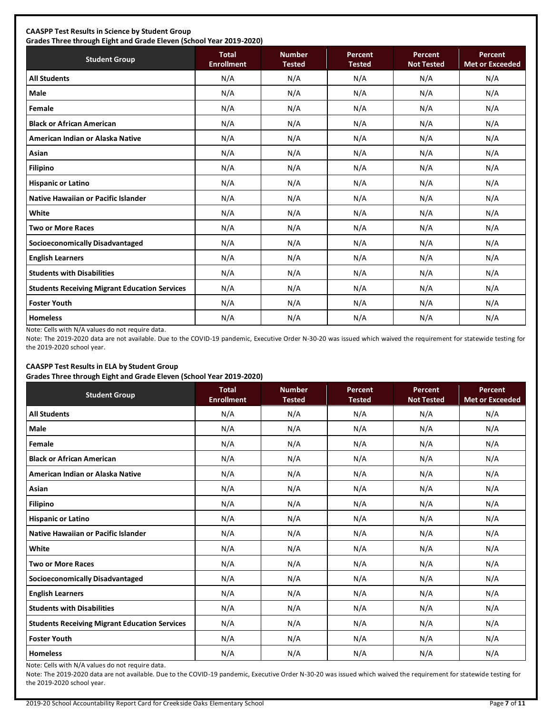## **CAASPP Test Results in Science by Student Group**

**Grades Three through Eight and Grade Eleven (School Year 2019-2020) Student Group Total Total Enrollment Number Tested Percent Tested Percent Not Tested Percent Met or Exceeded All Students** N/A N/A N/A N/A N/A **Male** N/A N/A N/A N/A N/A **Female** N/A N/A N/A N/A N/A **Black or African American** N/A N/A N/A N/A N/A **American Indian or Alaska Native** N/A N/A N/A N/A N/A **Asian** N/A N/A N/A N/A N/A **Filipino** N/A N/A N/A N/A N/A **Hispanic or Latino N/A N/A N/A N/A** N/A **Native Hawaiian or Pacific Islander**  $\begin{vmatrix} N/A & N/A & N/A & N/A \end{vmatrix}$  N/A N/A N/A N/A **White** N/A N/A N/A N/A N/A **Two or More Races** N/A N/A N/A N/A N/A **Socioeconomically Disadvantaged** N/A N/A N/A N/A N/A **English Learners** N/A N/A N/A N/A N/A **Students with Disabilities** N/A N/A N/A N/A N/A **Students Receiving Migrant Education Services | N/A | N/A | N/A | N/A | N/A | N/A Foster Youth** N/A N/A N/A N/A N/A **Homeless** N/A N/A N/A N/A N/A

Note: Cells with N/A values do not require data.

Note: The 2019-2020 data are not available. Due to the COVID-19 pandemic, Executive Order N-30-20 was issued which waived the requirement for statewide testing for the 2019-2020 school year.

## **CAASPP Test Results in ELA by Student Group**

**Grades Three through Eight and Grade Eleven (School Year 2019-2020)**

| <b>Student Group</b>                                 | <b>Total</b><br><b>Enrollment</b> | <b>Number</b><br><b>Tested</b> | Percent<br><b>Tested</b> | Percent<br><b>Not Tested</b> | Percent<br><b>Met or Exceeded</b> |
|------------------------------------------------------|-----------------------------------|--------------------------------|--------------------------|------------------------------|-----------------------------------|
| <b>All Students</b>                                  | N/A                               | N/A                            | N/A                      | N/A                          | N/A                               |
| <b>Male</b>                                          | N/A                               | N/A                            | N/A                      | N/A                          | N/A                               |
| Female                                               | N/A                               | N/A                            | N/A                      | N/A                          | N/A                               |
| <b>Black or African American</b>                     | N/A                               | N/A                            | N/A                      | N/A                          | N/A                               |
| American Indian or Alaska Native                     | N/A                               | N/A                            | N/A                      | N/A                          | N/A                               |
| Asian                                                | N/A                               | N/A                            | N/A                      | N/A                          | N/A                               |
| <b>Filipino</b>                                      | N/A                               | N/A                            | N/A                      | N/A                          | N/A                               |
| <b>Hispanic or Latino</b>                            | N/A                               | N/A                            | N/A                      | N/A                          | N/A                               |
| Native Hawaiian or Pacific Islander                  | N/A                               | N/A                            | N/A                      | N/A                          | N/A                               |
| White                                                | N/A                               | N/A                            | N/A                      | N/A                          | N/A                               |
| <b>Two or More Races</b>                             | N/A                               | N/A                            | N/A                      | N/A                          | N/A                               |
| <b>Socioeconomically Disadvantaged</b>               | N/A                               | N/A                            | N/A                      | N/A                          | N/A                               |
| <b>English Learners</b>                              | N/A                               | N/A                            | N/A                      | N/A                          | N/A                               |
| <b>Students with Disabilities</b>                    | N/A                               | N/A                            | N/A                      | N/A                          | N/A                               |
| <b>Students Receiving Migrant Education Services</b> | N/A                               | N/A                            | N/A                      | N/A                          | N/A                               |
| <b>Foster Youth</b>                                  | N/A                               | N/A                            | N/A                      | N/A                          | N/A                               |
| <b>Homeless</b>                                      | N/A                               | N/A                            | N/A                      | N/A                          | N/A                               |

Note: Cells with N/A values do not require data.

Note: The 2019-2020 data are not available. Due to the COVID-19 pandemic, Executive Order N-30-20 was issued which waived the requirement for statewide testing for the 2019-2020 school year.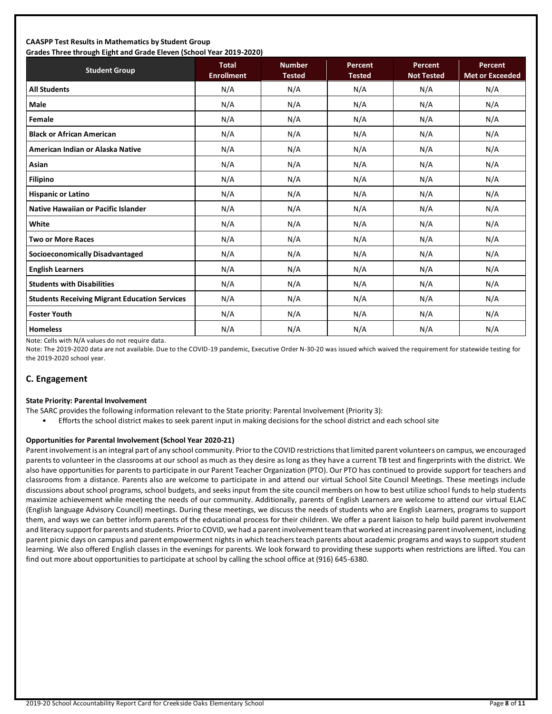#### **CAASPP Test Results in Mathematics by Student Group Grades Three through Eight and Grade Eleven (School Year 2019-2020)**

| Grades Timee through Eight and Grade Eleven (School Tear 2019-2020)<br><b>Student Group</b> | <b>Total</b><br><b>Enrollment</b> | <b>Number</b><br><b>Tested</b> | Percent<br><b>Tested</b> | Percent<br><b>Not Tested</b> | Percent<br><b>Met or Exceeded</b> |
|---------------------------------------------------------------------------------------------|-----------------------------------|--------------------------------|--------------------------|------------------------------|-----------------------------------|
| <b>All Students</b>                                                                         | N/A                               | N/A                            | N/A                      | N/A                          | N/A                               |
| <b>Male</b>                                                                                 | N/A                               | N/A                            | N/A                      | N/A                          | N/A                               |
| Female                                                                                      | N/A                               | N/A                            | N/A                      | N/A                          | N/A                               |
| <b>Black or African American</b>                                                            | N/A                               | N/A                            | N/A                      | N/A                          | N/A                               |
| American Indian or Alaska Native                                                            | N/A                               | N/A                            | N/A                      | N/A                          | N/A                               |
| Asian                                                                                       | N/A                               | N/A                            | N/A                      | N/A                          | N/A                               |
| <b>Filipino</b>                                                                             | N/A                               | N/A                            | N/A                      | N/A                          | N/A                               |
| <b>Hispanic or Latino</b>                                                                   | N/A                               | N/A                            | N/A                      | N/A                          | N/A                               |
| Native Hawaiian or Pacific Islander                                                         | N/A                               | N/A                            | N/A                      | N/A                          | N/A                               |
| White                                                                                       | N/A                               | N/A                            | N/A                      | N/A                          | N/A                               |
| <b>Two or More Races</b>                                                                    | N/A                               | N/A                            | N/A                      | N/A                          | N/A                               |
| <b>Socioeconomically Disadvantaged</b>                                                      | N/A                               | N/A                            | N/A                      | N/A                          | N/A                               |
| <b>English Learners</b>                                                                     | N/A                               | N/A                            | N/A                      | N/A                          | N/A                               |
| <b>Students with Disabilities</b>                                                           | N/A                               | N/A                            | N/A                      | N/A                          | N/A                               |
| <b>Students Receiving Migrant Education Services</b>                                        | N/A                               | N/A                            | N/A                      | N/A                          | N/A                               |
| <b>Foster Youth</b>                                                                         | N/A                               | N/A                            | N/A                      | N/A                          | N/A                               |
| <b>Homeless</b>                                                                             | N/A                               | N/A                            | N/A                      | N/A                          | N/A                               |

Note: Cells with N/A values do not require data.

Note: The 2019-2020 data are not available. Due to the COVID-19 pandemic, Executive Order N-30-20 was issued which waived the requirement for statewide testing for the 2019-2020 school year.

### **C. Engagement**

#### **State Priority: Parental Involvement**

- The SARC provides the following information relevant to the State priority: Parental Involvement (Priority 3):
	- Efforts the school district makes to seek parent input in making decisions for the school district and each school site

#### **Opportunities for Parental Involvement (School Year 2020-21)**

Parent involvement is an integral part of any school community. Prior to the COVID restrictions that limited parent volunteers on campus, we encouraged parents to volunteer in the classrooms at our school as much as they desire as long as they have a current TB test and fingerprints with the district. We also have opportunities for parents to participate in our Parent Teacher Organization (PTO). Our PTO has continued to provide support for teachers and classrooms from a distance. Parents also are welcome to participate in and attend our virtual School Site Council Meetings. These meetings include discussions about school programs, school budgets, and seeks input from the site council members on how to best utilize school funds to help students maximize achievement while meeting the needs of our community. Additionally, parents of English Learners are welcome to attend our virtual ELAC (English language Advisory Council) meetings. During these meetings, we discuss the needs of students who are English Learners, programs to support them, and ways we can better inform parents of the educational process for their children. We offer a parent liaison to help build parent involvement and literacy support for parents and students. Prior to COVID, we had a parent involvement team that worked at increasing parent involvement, including parent picnic days on campus and parent empowerment nights in which teachers teach parents about academic programs and ways to support student learning. We also offered English classes in the evenings for parents. We look forward to providing these supports when restrictions are lifted. You can find out more about opportunities to participate at school by calling the school office at (916) 645-6380.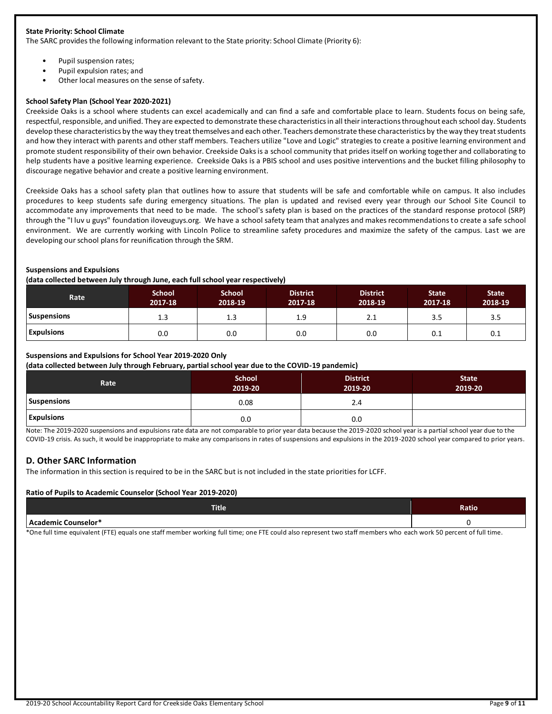#### **State Priority: School Climate**

The SARC provides the following information relevant to the State priority: School Climate (Priority 6):

- Pupil suspension rates;
- Pupil expulsion rates; and
- Other local measures on the sense of safety.

#### **School Safety Plan (School Year 2020-2021)**

Creekside Oaks is a school where students can excel academically and can find a safe and comfortable place to learn. Students focus on being safe, respectful, responsible, and unified. They are expected to demonstrate these characteristics in all their interactions throughout each school day. Students develop these characteristics by the way they treat themselves and each other. Teachers demonstrate these characteristics by the way they treat students and how they interact with parents and other staff members. Teachers utilize "Love and Logic" strategies to create a positive learning environment and promote student responsibility of their own behavior. Creekside Oaks is a school community that prides itself on working together and collaborating to help students have a positive learning experience. Creekside Oaks is a PBIS school and uses positive interventions and the bucket filling philosophy to discourage negative behavior and create a positive learning environment.

Creekside Oaks has a school safety plan that outlines how to assure that students will be safe and comfortable while on campus. It also includes procedures to keep students safe during emergency situations. The plan is updated and revised every year through our School Site Council to accommodate any improvements that need to be made. The school's safety plan is based on the practices of the standard response protocol (SRP) through the "I luv u guys" foundation iloveuguys.org. We have a school safety team that analyzes and makes recommendations to create a safe school environment. We are currently working with Lincoln Police to streamline safety procedures and maximize the safety of the campus. Last we are developing our school plans for reunification through the SRM.

#### **Suspensions and Expulsions**

#### **(data collected between July through June, each full school year respectively)**

| <b>Rate</b>        | <b>School</b><br>2017-18 | School<br>2018-19 | <b>District</b><br>2017-18 | <b>District</b><br>2018-19 | <b>State</b><br>2017-18 | <b>State</b><br>2018-19 |
|--------------------|--------------------------|-------------------|----------------------------|----------------------------|-------------------------|-------------------------|
| <b>Suspensions</b> | 1.3                      | ᆠ                 | 1.9                        | 2.1                        | 3.5                     | 3.5                     |
| <b>Expulsions</b>  | 0.0                      | 0.0               | 0.0                        | 0.0                        | 0.1                     | 0.1                     |

#### **Suspensions and Expulsions for School Year 2019-2020 Only**

**(data collected between July through February, partial school year due to the COVID-19 pandemic)**

| Rate               | <b>School</b><br>2019-20 | <b>District</b><br>2019-20 | <b>State</b><br>2019-20 |
|--------------------|--------------------------|----------------------------|-------------------------|
| <b>Suspensions</b> | 0.08                     | 2.4                        |                         |
| <b>Expulsions</b>  | 0.0                      | 0.0                        |                         |

Note: The 2019-2020 suspensions and expulsions rate data are not comparable to prior year data because the 2019-2020 school year is a partial school year due to the COVID-19 crisis. As such, it would be inappropriate to make any comparisons in rates of suspensions and expulsions in the 2019-2020 school year compared to prior years.

#### **D. Other SARC Information**

The information in this section is required to be in the SARC but is not included in the state priorities for LCFF.

#### **Ratio of Pupils to Academic Counselor (School Year 2019-2020)**

| <b>Title</b>               | Ratio |
|----------------------------|-------|
| <b>Academic Counselor*</b> |       |

\*One full time equivalent (FTE) equals one staff member working full time; one FTE could also represent two staff members who each work 50 percent of full time.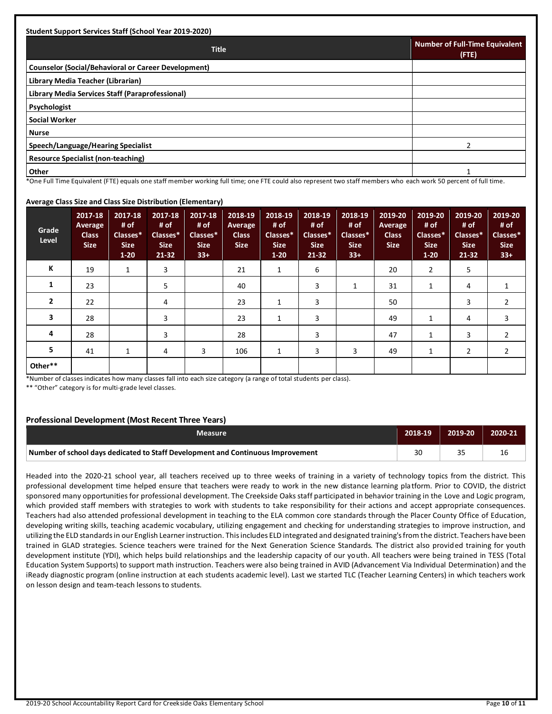| <b>Student Support Services Staff (School Year 2019-2020)</b> |                                                |
|---------------------------------------------------------------|------------------------------------------------|
| <b>Title</b>                                                  | <b>Number of Full-Time Equivalent</b><br>(FTE) |
| <b>Counselor (Social/Behavioral or Career Development)</b>    |                                                |
| Library Media Teacher (Librarian)                             |                                                |
| Library Media Services Staff (Paraprofessional)               |                                                |
| <b>Psychologist</b>                                           |                                                |
| Social Worker                                                 |                                                |
| <b>Nurse</b>                                                  |                                                |
| Speech/Language/Hearing Specialist                            |                                                |
| <b>Resource Specialist (non-teaching)</b>                     |                                                |
| <b>Other</b>                                                  |                                                |

#### \*One Full Time Equivalent (FTE) equals one staff member working full time; one FTE could also represent two staff members who each work 50 percent of full time.

#### **Average Class Size and Class Size Distribution (Elementary)**

| Grade<br>Level | 2017-18<br>Average<br><b>Class</b><br><b>Size</b> | 2017-18<br># of<br>Classes*<br><b>Size</b><br>$1 - 20$ | 2017-18<br># of<br>Classes*<br><b>Size</b><br>21-32 | 2017-18<br># of<br>Classes*<br><b>Size</b><br>$33+$ | 2018-19<br>Average<br><b>Class</b><br><b>Size</b> | 2018-19<br># of<br>Classes*<br><b>Size</b><br>$1 - 20$ | 2018-19<br># of<br>Classes*<br><b>Size</b><br>21-32 | 2018-19<br># of<br>Classes*<br><b>Size</b><br>$33+$ | 2019-20<br><b>Average</b><br><b>Class</b><br><b>Size</b> | 2019-20<br># of<br>Classes*<br><b>Size</b><br>$1 - 20$ | 2019-20<br># of<br>Classes*<br><b>Size</b><br>$21 - 32$ | 2019-20<br># of<br>Classes*<br><b>Size</b><br>$33+$ |
|----------------|---------------------------------------------------|--------------------------------------------------------|-----------------------------------------------------|-----------------------------------------------------|---------------------------------------------------|--------------------------------------------------------|-----------------------------------------------------|-----------------------------------------------------|----------------------------------------------------------|--------------------------------------------------------|---------------------------------------------------------|-----------------------------------------------------|
| К              | 19                                                | 1                                                      | 3                                                   |                                                     | 21                                                | 1                                                      | 6                                                   |                                                     | 20                                                       | $\overline{2}$                                         | 5                                                       |                                                     |
| 1              | 23                                                |                                                        | 5                                                   |                                                     | 40                                                |                                                        | 3                                                   | 1                                                   | 31                                                       | 1                                                      | 4                                                       |                                                     |
| $\overline{2}$ | 22                                                |                                                        | 4                                                   |                                                     | 23                                                | $\mathbf{1}$                                           | 3                                                   |                                                     | 50                                                       |                                                        | 3                                                       | $\overline{2}$                                      |
| 3              | 28                                                |                                                        | 3                                                   |                                                     | 23                                                | 1                                                      | 3                                                   |                                                     | 49                                                       | 1                                                      | 4                                                       | 3                                                   |
| 4              | 28                                                |                                                        | 3                                                   |                                                     | 28                                                |                                                        | 3                                                   |                                                     | 47                                                       | 1                                                      | 3                                                       | 2                                                   |
| 5              | 41                                                | 1                                                      | 4                                                   | 3                                                   | 106                                               | 1                                                      | 3                                                   | 3                                                   | 49                                                       | 1                                                      | 2                                                       | 2                                                   |
| Other**        |                                                   |                                                        |                                                     |                                                     |                                                   |                                                        |                                                     |                                                     |                                                          |                                                        |                                                         |                                                     |

\*Number of classes indicates how many classes fall into each size category (a range of total students per class).

\*\* "Other" category is for multi-grade level classes.

#### **Professional Development (Most Recent Three Years)**

| <b>Measure</b>                                                                  | 2018-19 | 2019-20 | 2020-21 |
|---------------------------------------------------------------------------------|---------|---------|---------|
| Number of school days dedicated to Staff Development and Continuous Improvement | 30      |         | 16      |

Headed into the 2020-21 school year, all teachers received up to three weeks of training in a variety of technology topics from the district. This professional development time helped ensure that teachers were ready to work in the new distance learning platform. Prior to COVID, the district sponsored many opportunities for professional development. The Creekside Oaks staff participated in behavior training in the Love and Logic program, which provided staff members with strategies to work with students to take responsibility for their actions and accept appropriate consequences. Teachers had also attended professional development in teaching to the ELA common core standards through the Placer County Office of Education, developing writing skills, teaching academic vocabulary, utilizing engagement and checking for understanding strategies to improve instruction, and utilizing the ELD standards in our English Learner instruction. This includes ELD integrated and designated training's from the district. Teachers have been trained in GLAD strategies. Science teachers were trained for the Next Generation Science Standards. The district also provided training for youth development institute (YDI), which helps build relationships and the leadership capacity of our youth. All teachers were being trained in TESS (Total Education System Supports) to support math instruction. Teachers were also being trained in AVID (Advancement Via Individual Determination) and the iReady diagnostic program (online instruction at each students academic level). Last we started TLC (Teacher Learning Centers) in which teachers work on lesson design and team-teach lessons to students.